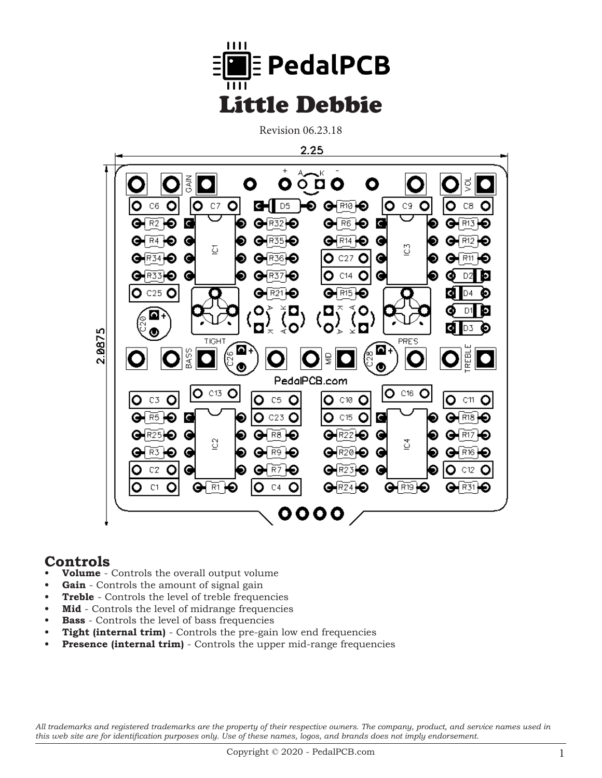

Revision 06.23.18



## **Controls**

- **Volume** Controls the overall output volume
- **• Gain** Controls the amount of signal gain
- **• Treble** Controls the level of treble frequencies
- **Mid** Controls the level of midrange frequencies
- **Bass** Controls the level of bass frequencies
- **Tight (internal trim)** Controls the pre-gain low end frequencies
- **Presence (internal trim)** Controls the upper mid-range frequencies

*All trademarks and registered trademarks are the property of their respective owners. The company, product, and service names used in this web site are for identification purposes only. Use of these names, logos, and brands does not imply endorsement.*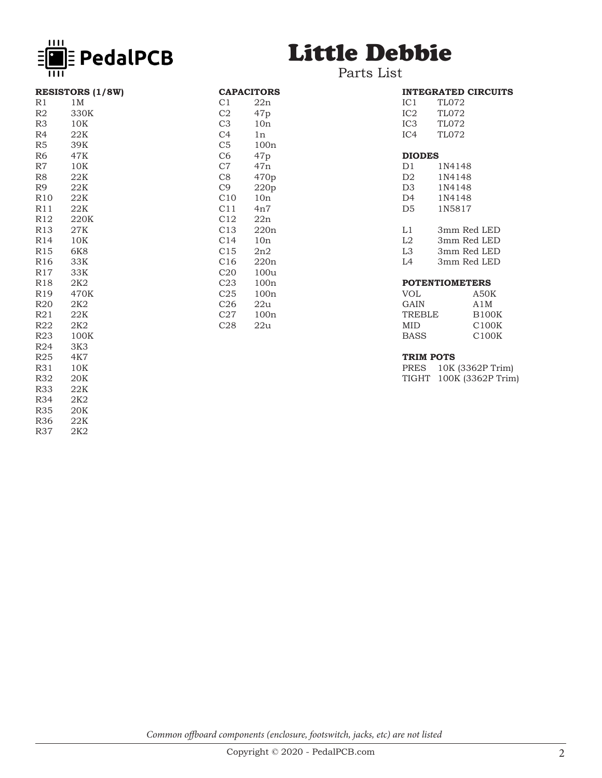

**RESISTORS (1/8W)**

R1 1M<br>R2 330 R2 330K<br>R3 10K 10K

R4 22K R5 39K<br>R6 47K 47K

R7 10K R8 22K

## Little Debbie

## Parts List

CAPACITORS<br>C1 22n C1 22n<br>C2 47p C2 47p<br>C3 10n C3 10n<br>C4 1n C4 1n<br>C5 100 C5 100n<br>C6 47p 47p

C7 47n C8 470p<br>C9 220p C9 220p<br>C10 10n C10 10n<br>C11 4n7  $4n7$ 

C12 22n C13 220n C14 10n C15 2n2 C16 220n C20 100u C23 100n<br>C25 100n C25 100n<br>C26 22u C<sub>26</sub> 22u<br>C<sub>27</sub> 100r C27 100n<br>C28 22u 22u

|                       | <b>INTEGRATED CIRCUITS</b> |
|-----------------------|----------------------------|
| IC1                   | <b>TL072</b>               |
| IC2                   | <b>TL072</b>               |
| IC3                   | TL072                      |
| IC4                   | TL072                      |
|                       |                            |
| <b>DIODES</b>         |                            |
| D1 -                  | 1N4148                     |
| D2                    | 1N4148                     |
| D3 -                  | 1N4148                     |
| D4                    | 1N4148                     |
| D5                    | 1N5817                     |
|                       |                            |
| L1                    | 3mm Red LED                |
| L2                    | 3mm Red LED                |
| L3 -                  | 3mm Red LED                |
| L4                    | 3mm Red LED                |
|                       |                            |
| <b>POTENTIOMETERS</b> |                            |
| VOL                   | A50K                       |
| GAIN                  | A1M                        |
| TREBLE                | <b>B100K</b>               |
| MID                   | C100K                      |
| <b>BASS</b>           | C100K                      |

## **TRIM POTS**

PRES 10K (3362P Trim) TIGHT 100K (3362P Trim)

R9 22K R10 22K R11 22K R12 220K R13 27K R14 10K R15 6K8 R16 33K R17 33K R<sub>18</sub> 2K<sub>2</sub><br>R<sub>19</sub> 470 R19 470K<br>R20 2K2 R<sub>20</sub> 2K<sub>2</sub><br>R<sub>21</sub> 22K R21 22K<br>R22 2K2 R22 2K2<br>R23 1001 R23 100K<br>R24 3K3 R24 3K3<br>R25 4K7 R25 4K7<br>R31 10K 10K R32 20K R33 22K<br>R34 2K2 R34 2K2<br>R35 20K  $20K$ <br> $22K$ R36<br>R37

2K2

*Common offboard components (enclosure, footswitch, jacks, etc) are not listed*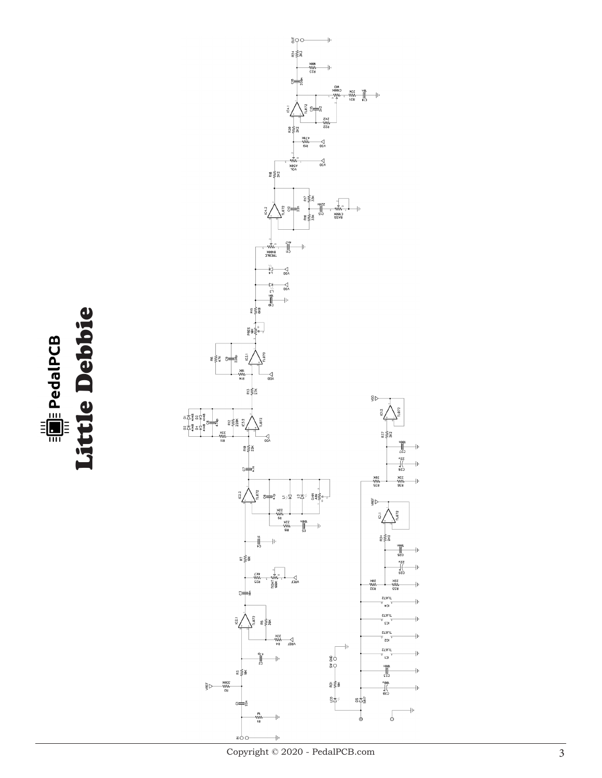Eutie Debbie Little Debbie

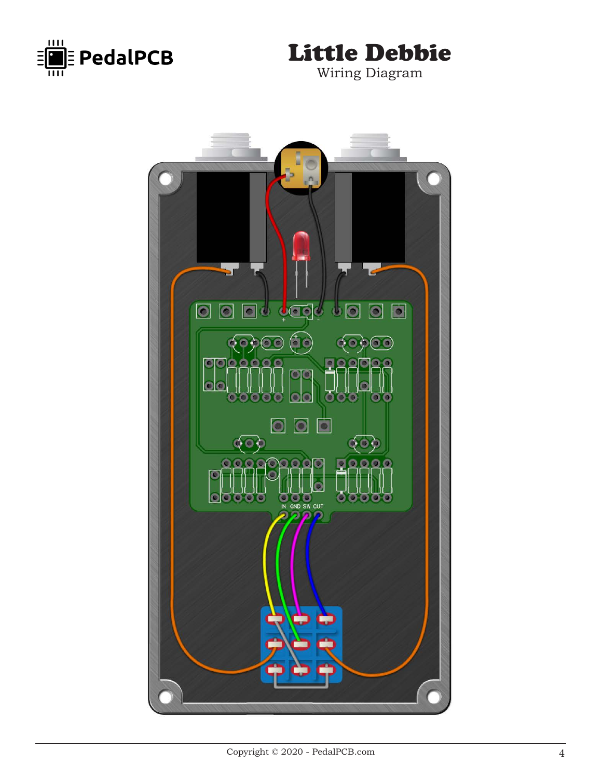



Wiring Diagram